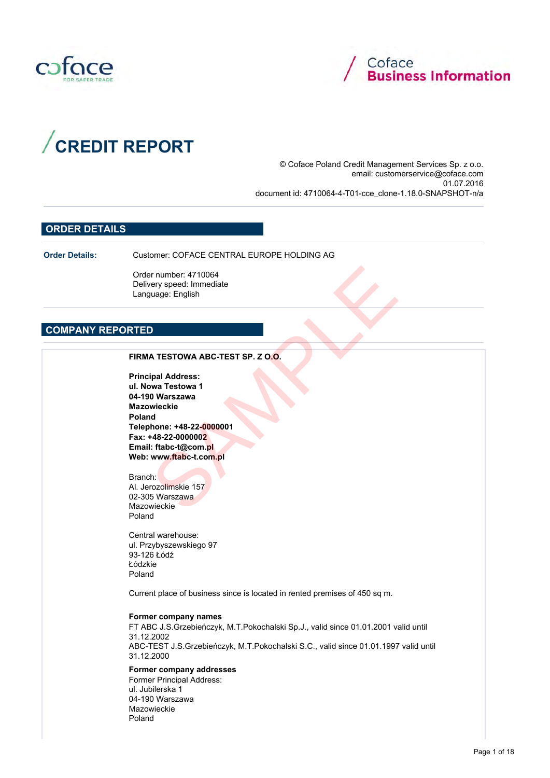





© Coface Poland Credit Management Services Sp. z o.o. email: customerservice@coface.com 01.07.2016 document id: 4710064-4-T01-cce\_clone-1.18.0-SNAPSHOT-n/a

## ORDER DETAILS

Order Details: Customer: COFACE CENTRAL EUROPE HOLDING AG

Order number: 4710064 Delivery speed: Immediate Language: English

## COMPANY REPORTED

Principal Address: ul. Nowa Testowa 1 04-190 Warszawa Mazowieckie Poland Telephone: +48-22-0000001 Fax: +48-22-0000002 Email: ftabc-t@com.pl Web: www.ftabc-t.com.pl Primate (1710064)<br>
Server Speed: Immediate<br>
United Schools (English<br>
Sample 2010)<br>
Sample 2010<br>
Sample 2020<br>
United Schools (1892–2000)<br>
United Schools (1892–2000)<br>
United Schools (1892–2000)<br>
United Schools (1893–2000)<br>
U

Branch: Al. Jerozolimskie 157 02-305 Warszawa Mazowieckie Poland

Central warehouse: ul. Przybyszewskiego 97 93-126 Łódź Łódzkie Poland

Current place of business since is located in rented premises of 450 sq m.

#### Former company names

FT ABC J.S.Grzebieńczyk, M.T.Pokochalski Sp.J., valid since 01.01.2001 valid until 31.12.2002 ABC-TEST J.S.Grzebieńczyk, M.T.Pokochalski S.C., valid since 01.01.1997 valid until 31.12.2000

Former company addresses

Former Principal Address: ul. Jubilerska 1 04-190 Warszawa Mazowieckie Poland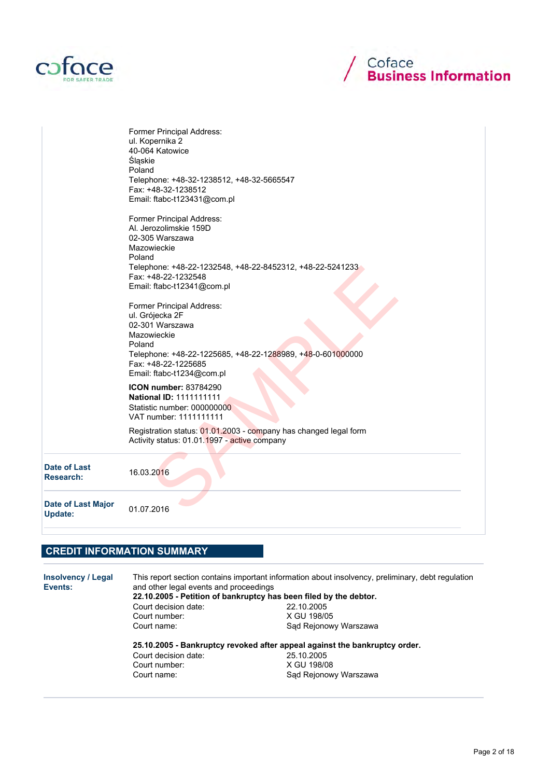



|                                             | Former Principal Address:<br>ul. Kopernika 2<br>40-064 Katowice<br>Śląskie<br>Poland<br>Telephone: +48-32-1238512, +48-32-5665547<br>Fax: +48-32-1238512<br>Email: ftabc-t123431@com.pl                           |
|---------------------------------------------|-------------------------------------------------------------------------------------------------------------------------------------------------------------------------------------------------------------------|
|                                             | Former Principal Address:<br>Al. Jerozolimskie 159D<br>02-305 Warszawa<br>Mazowieckie<br>Poland<br>Telephone: +48-22-1232548, +48-22-8452312, +48-22-5241233<br>Fax: +48-22-1232548<br>Email: ftabc-t12341@com.pl |
|                                             | Former Principal Address:<br>ul. Grójecka 2F<br>02-301 Warszawa<br>Mazowieckie<br>Poland<br>Telephone: +48-22-1225685, +48-22-1288989, +48-0-601000000<br>Fax: +48-22-1225685<br>Email: ftabc-t1234@com.pl        |
|                                             | ICON number: 83784290<br><b>National ID: 1111111111</b><br>Statistic number: 000000000<br>VAT number: 1111111111                                                                                                  |
|                                             | Registration status: 01.01.2003 - company has changed legal form<br>Activity status: 01.01.1997 - active company                                                                                                  |
| Date of Last<br><b>Research:</b>            | 16.03.2016                                                                                                                                                                                                        |
| <b>Date of Last Major</b><br><b>Update:</b> | 01.07.2016                                                                                                                                                                                                        |

# CREDIT INFORMATION SUMMARY

| Insolvency / Legal<br>Events: | This report section contains important information about insolvency, preliminary, debt requlation<br>and other legal events and proceedings<br>22.10.2005 - Petition of bankruptcy has been filed by the debtor. |                       |  |  |  |
|-------------------------------|------------------------------------------------------------------------------------------------------------------------------------------------------------------------------------------------------------------|-----------------------|--|--|--|
|                               | Court decision date:                                                                                                                                                                                             | 22.10.2005            |  |  |  |
|                               | Court number:                                                                                                                                                                                                    | X GU 198/05           |  |  |  |
|                               | Court name:                                                                                                                                                                                                      | Sad Rejonowy Warszawa |  |  |  |
|                               | 25.10.2005 - Bankruptcy revoked after appeal against the bankruptcy order.                                                                                                                                       |                       |  |  |  |
|                               | Court decision date:                                                                                                                                                                                             | 25.10.2005            |  |  |  |
|                               | Court number:                                                                                                                                                                                                    | X GU 198/08           |  |  |  |
|                               | Court name:                                                                                                                                                                                                      | Sad Rejonowy Warszawa |  |  |  |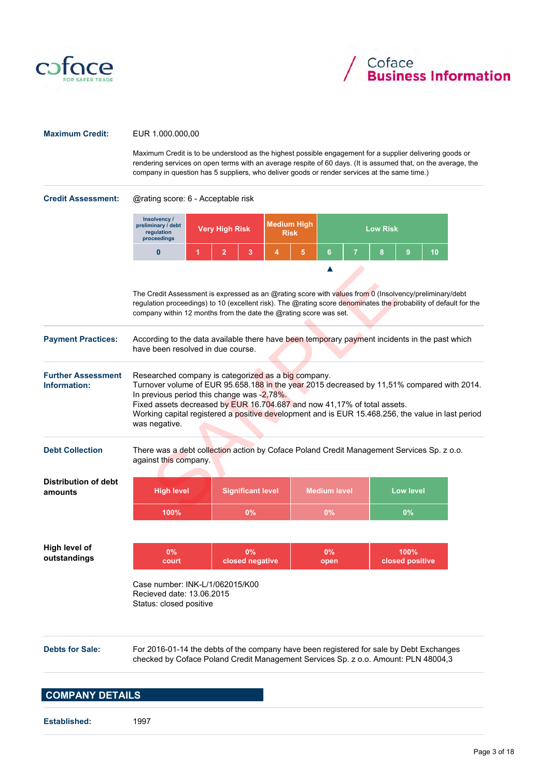



#### Maximum Credit: EUR 1.000.000,00

Maximum Credit is to be understood as the highest possible engagement for a supplier delivering goods or rendering services on open terms with an average respite of 60 days. (It is assumed that, on the average, the company in question has 5 suppliers, who deliver goods or render services at the same time.)

Credit Assessment: @rating score: 6 - Acceptable risk

|    | Insolvency /<br>preliminary / debt<br>regulation<br>proceedings                                                                                                                                                                                                                                                                                                                                  |   | <b>Very High Risk</b> |                                | <b>Medium High</b><br><b>Risk</b> |   | <b>Low Risk</b>         |   |   |                           |    |  |
|----|--------------------------------------------------------------------------------------------------------------------------------------------------------------------------------------------------------------------------------------------------------------------------------------------------------------------------------------------------------------------------------------------------|---|-----------------------|--------------------------------|-----------------------------------|---|-------------------------|---|---|---------------------------|----|--|
|    | $\mathbf{0}$                                                                                                                                                                                                                                                                                                                                                                                     | 1 | $\overline{2}$        | 3                              | 4                                 | 5 | 6                       | 7 | 8 | 9                         | 10 |  |
|    | The Credit Assessment is expressed as an @rating score with values from 0 (Insolvency/preliminary/debt<br>regulation proceedings) to 10 (excellent risk). The @rating score denominates the probability of default for the<br>company within 12 months from the date the @rating score was set.                                                                                                  |   |                       |                                |                                   |   |                         |   |   |                           |    |  |
| ¢. | According to the data available there have been temporary payment incidents in the past which<br>have been resolved in due course.                                                                                                                                                                                                                                                               |   |                       |                                |                                   |   |                         |   |   |                           |    |  |
| nt | Researched company is categorized as a big company.<br>Turnover volume of EUR 95.658.188 in the year 2015 decreased by 11,51% compared with 2014<br>In previous period this change was -2,78%.<br>Fixed assets decreased by EUR 16.704.687 and now 41,17% of total assets.<br>Working capital registered a positive development and is EUR 15.468.256, the value in last period<br>was negative. |   |                       |                                |                                   |   |                         |   |   |                           |    |  |
|    | There was a debt collection action by Coface Poland Credit Management Services Sp. z o.o.<br>against this company.                                                                                                                                                                                                                                                                               |   |                       |                                |                                   |   |                         |   |   |                           |    |  |
| t  | <b>High level</b>                                                                                                                                                                                                                                                                                                                                                                                |   |                       | <b>Significant level</b>       |                                   |   | <b>Medium level</b>     |   |   | <b>Low level</b>          |    |  |
|    | 100%                                                                                                                                                                                                                                                                                                                                                                                             |   |                       | $\Omega$ <sup>o</sup> / $\sim$ |                                   |   | $\Omega$ <sup>o</sup> / |   |   | $\mathsf{A}^{\mathsf{D}}$ |    |  |

| <b>Payment Practices:</b>                 | According to the data available there have been temporary payment incidents in the past which<br>have been resolved in due course.                                                            |
|-------------------------------------------|-----------------------------------------------------------------------------------------------------------------------------------------------------------------------------------------------|
| <b>Further Assessment</b><br>Information: | Researched company is categorized as a big company.<br>Turnover volume of EUR 95.658.188 in the year 2015 decreased by 11.51% compared with 2014.<br>In provious period this change was 2.78% |

#### Debt Collection There was a debt collection action by Coface Poland Credit Management Services Sp. z o.o. against this company.

| Distribution of debt<br>amounts | <b>High level</b> | Significant level | <b>Medium level</b> | Low level |
|---------------------------------|-------------------|-------------------|---------------------|-----------|
|                                 | 100%              | 0%                | 0%                  | $0\%$     |

| High level of | 0%    | 0%              | $\mathcal{O}(\mathcal{N})$ | $100\%$                |
|---------------|-------|-----------------|----------------------------|------------------------|
| outstandings  | court | closed negative | open                       | <b>Closed positive</b> |

Case number: INK-L/1/062015/K00 Recieved date: 13.06.2015 Status: closed positive

Debts for Sale: For 2016-01-14 the debts of the company have been registered for sale by Debt Exchanges checked by Coface Poland Credit Management Services Sp. z o.o. Amount: PLN 48004,3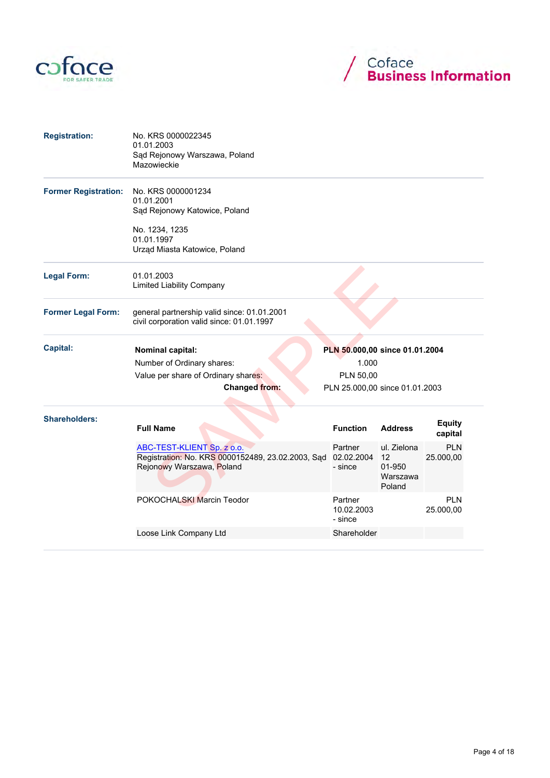



| <b>Registration:</b>        | No. KRS 0000022345<br>01.01.2003<br>Sąd Rejonowy Warszawa, Poland<br>Mazowieckie                             |                                  |                                                   |                          |
|-----------------------------|--------------------------------------------------------------------------------------------------------------|----------------------------------|---------------------------------------------------|--------------------------|
| <b>Former Registration:</b> | No. KRS 0000001234<br>01.01.2001<br>Sąd Rejonowy Katowice, Poland                                            |                                  |                                                   |                          |
|                             | No. 1234, 1235<br>01.01.1997<br>Urząd Miasta Katowice, Poland                                                |                                  |                                                   |                          |
| <b>Legal Form:</b>          | 01.01.2003<br><b>Limited Liability Company</b>                                                               |                                  |                                                   |                          |
| <b>Former Legal Form:</b>   | general partnership valid since: 01.01.2001<br>civil corporation valid since: 01.01.1997                     |                                  |                                                   |                          |
| <b>Capital:</b>             | Nominal capital:                                                                                             | PLN 50.000,00 since 01.01.2004   |                                                   |                          |
|                             | Number of Ordinary shares:                                                                                   | 1.000                            |                                                   |                          |
|                             | Value per share of Ordinary shares:                                                                          | PLN 50,00                        |                                                   |                          |
|                             | <b>Changed from:</b>                                                                                         | PLN 25.000,00 since 01.01.2003   |                                                   |                          |
| <b>Shareholders:</b>        | <b>Full Name</b>                                                                                             | <b>Function</b>                  | <b>Address</b>                                    | <b>Equity</b><br>capital |
|                             | ABC-TEST-KLIENT Sp. z o.o.<br>Registration: No. KRS 0000152489, 23.02.2003, Sad<br>Rejonowy Warszawa, Poland | Partner<br>02.02.2004<br>- since | ul. Zielona<br>12<br>01-950<br>Warszawa<br>Poland | <b>PLN</b><br>25.000,00  |
|                             | POKOCHALSKI Marcin Teodor                                                                                    | Partner<br>10.02.2003<br>- since |                                                   | <b>PLN</b><br>25.000,00  |
|                             | Loose Link Company Ltd                                                                                       | Shareholder                      |                                                   |                          |
|                             |                                                                                                              |                                  |                                                   |                          |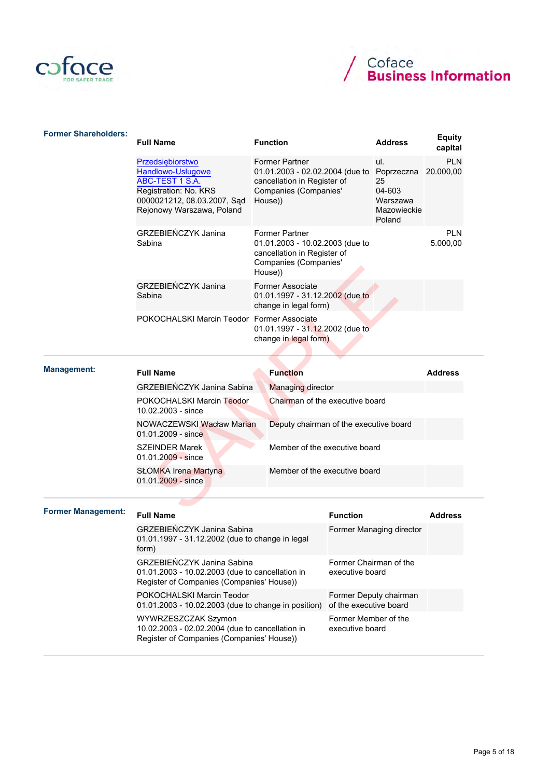



| <b>Former Shareholders:</b> | <b>Full Name</b>                                                                                                                                     | <b>Function</b>                                                                                                             |                                        | <b>Address</b>                                                         | <b>Equity</b><br>capital |
|-----------------------------|------------------------------------------------------------------------------------------------------------------------------------------------------|-----------------------------------------------------------------------------------------------------------------------------|----------------------------------------|------------------------------------------------------------------------|--------------------------|
|                             | Przedsiębiorstwo<br>Handlowo-Usługowe<br><b>ABC-TEST 1 S.A.</b><br>Registration: No. KRS<br>0000021212, 08.03.2007, Sąd<br>Rejonowy Warszawa, Poland | <b>Former Partner</b><br>cancellation in Register of<br>Companies (Companies'<br>House))                                    | 01.01.2003 - 02.02.2004 (due to        | ul.<br>Poprzeczna<br>25<br>04-603<br>Warszawa<br>Mazowieckie<br>Poland | <b>PLN</b><br>20.000,00  |
|                             | <b>GRZEBIEŃCZYK Janina</b><br>Sabina                                                                                                                 | <b>Former Partner</b><br>01.01.2003 - 10.02.2003 (due to<br>cancellation in Register of<br>Companies (Companies'<br>House)) |                                        |                                                                        | <b>PLN</b><br>5.000,00   |
|                             | GRZEBIEŃCZYK Janina<br>Sabina                                                                                                                        | <b>Former Associate</b><br>change in legal form)                                                                            | 01.01.1997 - 31.12.2002 (due to        |                                                                        |                          |
|                             | POKOCHALSKI Marcin Teodor Former Associate                                                                                                           | change in legal form)                                                                                                       | 01.01.1997 - 31.12.2002 (due to        |                                                                        |                          |
| <b>Management:</b>          | <b>Full Name</b>                                                                                                                                     | <b>Function</b>                                                                                                             |                                        |                                                                        | <b>Address</b>           |
|                             | <b>GRZEBIEŃCZYK Janina Sabina</b>                                                                                                                    | <b>Managing director</b>                                                                                                    |                                        |                                                                        |                          |
|                             | POKOCHALSKI Marcin Teodor<br>10.02.2003 - since                                                                                                      |                                                                                                                             | Chairman of the executive board        |                                                                        |                          |
|                             | NOWACZEWSKI Wacław Marian<br>01.01.2009 - since                                                                                                      |                                                                                                                             | Deputy chairman of the executive board |                                                                        |                          |
|                             | <b>SZEINDER Marek</b><br>$01.01.2009 -$ since                                                                                                        |                                                                                                                             | Member of the executive board          |                                                                        |                          |
|                             | <b>SŁOMKA Irena Martyna</b><br>01.01.2009 - since                                                                                                    |                                                                                                                             | Member of the executive board          |                                                                        |                          |
|                             |                                                                                                                                                      |                                                                                                                             |                                        |                                                                        |                          |
| <b>Former Management:</b>   | <b>Full Name</b>                                                                                                                                     |                                                                                                                             | <b>Function</b>                        |                                                                        | <b>Address</b>           |
|                             | <b>GRZEBIENCZYK Janina Sabina</b><br>01.01.1997 - 31.12.2002 (due to change in legal<br>form)                                                        |                                                                                                                             | Former Managing director               |                                                                        |                          |
|                             | GRZEBIEŃCZYK Janina Sabina<br>01.01.2003 - 10.02.2003 (due to cancellation in<br>Register of Companies (Companies' House))                           | executive board                                                                                                             | Former Chairman of the                 |                                                                        |                          |
|                             | POKOCHALSKI Marcin Teodor<br>01.01.2003 - 10.02.2003 (due to change in position)                                                                     | of the executive board                                                                                                      | Former Deputy chairman                 |                                                                        |                          |
|                             | WYWRZESZCZAK Szymon<br>10.02.2003 - 02.02.2004 (due to cancellation in<br>Register of Companies (Companies' House))                                  | Former Member of the<br>executive board                                                                                     |                                        |                                                                        |                          |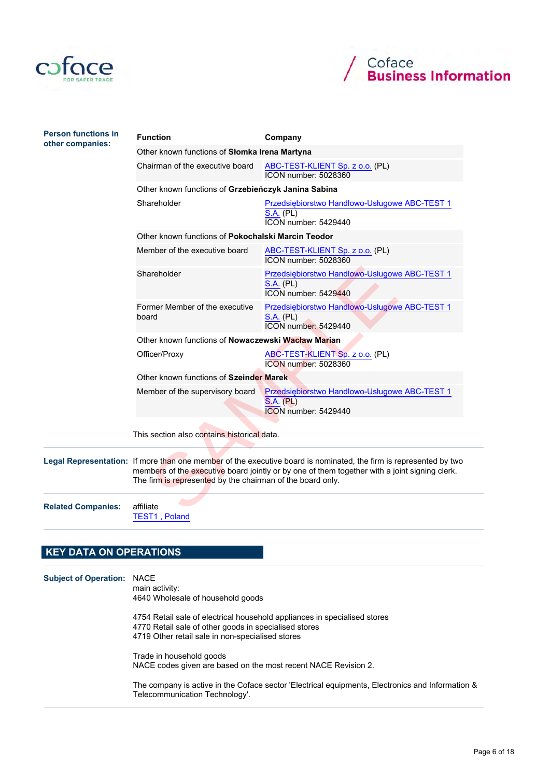



| <b>Person functions in</b><br>other companies: | <b>Function</b>                                            | Company                                                                                                                                                                                                            |  |  |  |  |
|------------------------------------------------|------------------------------------------------------------|--------------------------------------------------------------------------------------------------------------------------------------------------------------------------------------------------------------------|--|--|--|--|
|                                                | Other known functions of Słomka Irena Martyna              |                                                                                                                                                                                                                    |  |  |  |  |
|                                                | Chairman of the executive board                            | ABC-TEST-KLIENT Sp. z o.o. (PL)<br><b>ICON number: 5028360</b>                                                                                                                                                     |  |  |  |  |
|                                                | Other known functions of Grzebieńczyk Janina Sabina        |                                                                                                                                                                                                                    |  |  |  |  |
|                                                | Shareholder                                                | Przedsiębiorstwo Handlowo-Usługowe ABC-TEST 1<br><b>S.A. (PL)</b><br>ICON number: 5429440                                                                                                                          |  |  |  |  |
|                                                | Other known functions of Pokochalski Marcin Teodor         |                                                                                                                                                                                                                    |  |  |  |  |
|                                                | Member of the executive board                              | ABC-TEST-KLIENT Sp. z o.o. (PL)<br>ICON number: 5028360                                                                                                                                                            |  |  |  |  |
|                                                | Shareholder                                                | Przedsiębiorstwo Handlowo-Usługowe ABC-TEST 1<br><b>S.A. (PL)</b><br>ICON number: 5429440                                                                                                                          |  |  |  |  |
|                                                | Former Member of the executive<br>board                    | Przedsiębiorstwo Handlowo-Usługowe ABC-TEST 1<br><b>S.A. (PL)</b><br>ICON number: 5429440                                                                                                                          |  |  |  |  |
|                                                | Other known functions of <b>Nowaczewski Wacław Marian</b>  |                                                                                                                                                                                                                    |  |  |  |  |
|                                                | Officer/Proxy                                              | ABC-TEST-KLIENT Sp. z o.o. (PL)<br>ICON number: 5028360                                                                                                                                                            |  |  |  |  |
|                                                | Other known functions of Szeinder Marek                    |                                                                                                                                                                                                                    |  |  |  |  |
|                                                | Member of the supervisory board                            | Przedsiębiorstwo Handlowo-Usługowe ABC-TEST 1<br>S.A. (PL)<br><b>ICON</b> number: 5429440                                                                                                                          |  |  |  |  |
|                                                | This section also contains historical data.                |                                                                                                                                                                                                                    |  |  |  |  |
|                                                | The firm is represented by the chairman of the board only. | Legal Representation: If more than one member of the executive board is nominated, the firm is represented by two<br>members of the executive board jointly or by one of them together with a joint signing clerk. |  |  |  |  |
| <b>Related Companies:</b>                      | affiliate                                                  |                                                                                                                                                                                                                    |  |  |  |  |

Related Companies: affiliate

TEST1 , Poland

# KEY DATA ON OPERATIONS Subject of Operation: NACE main activity: 4640 Wholesale of household goods 4754 Retail sale of electrical household appliances in specialised stores 4770 Retail sale of other goods in specialised stores 4719 Other retail sale in non-specialised stores Trade in household goods NACE codes given are based on the most recent NACE Revision 2. The company is active in the Coface sector 'Electrical equipments, Electronics and Information & Telecommunication Technology'.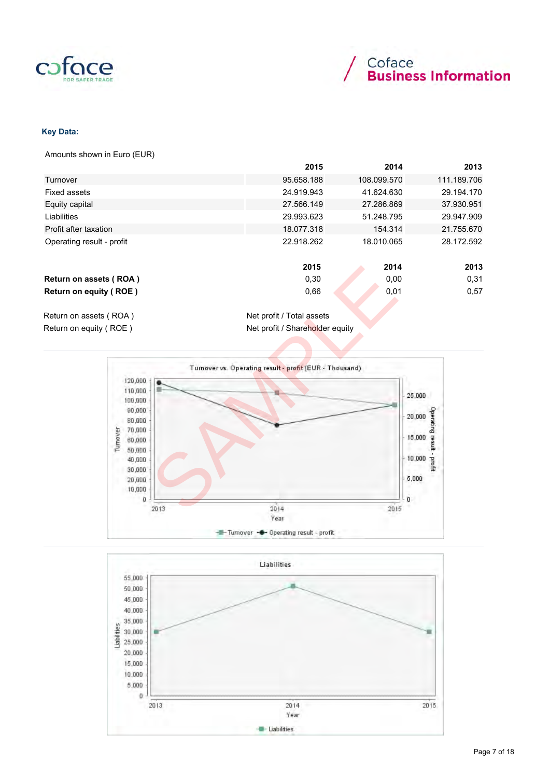



### Key Data:

Amounts shown in Euro (EUR)

|                           | 2015       | 2014        | 2013        |
|---------------------------|------------|-------------|-------------|
| Turnover                  | 95.658.188 | 108.099.570 | 111.189.706 |
| <b>Fixed assets</b>       | 24.919.943 | 41.624.630  | 29.194.170  |
| Equity capital            | 27.566.149 | 27.286.869  | 37.930.951  |
| Liabilities               | 29.993.623 | 51.248.795  | 29.947.909  |
| Profit after taxation     | 18.077.318 | 154.314     | 21.755.670  |
| Operating result - profit | 22.918.262 | 18.010.065  | 28.172.592  |
|                           | 2015       | 2014        | 2013        |
| Return on assets (ROA)    | 0,30       | 0,00        | 0,31        |
| Return on equity (ROE)    | 0,66       | 0,01        | 0,57        |
|                           |            |             |             |

Return on assets (ROA) Net profit / Total assets Return on equity ( ROE ) Net profit / Shareholder equity



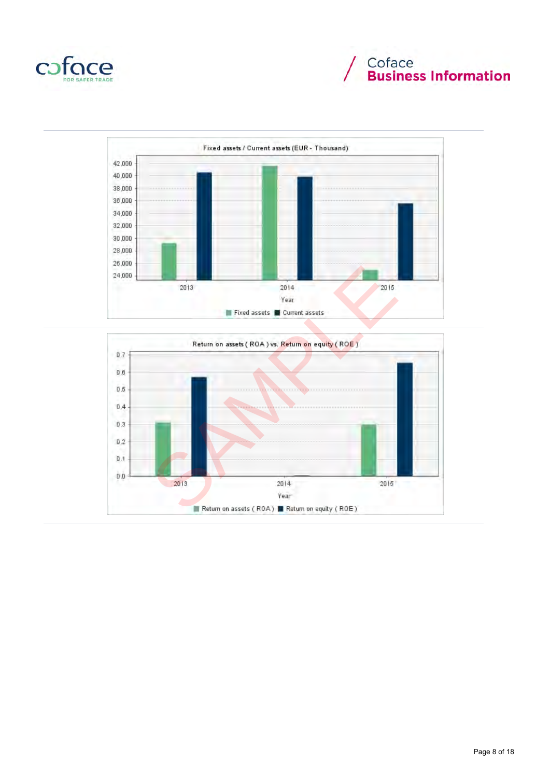





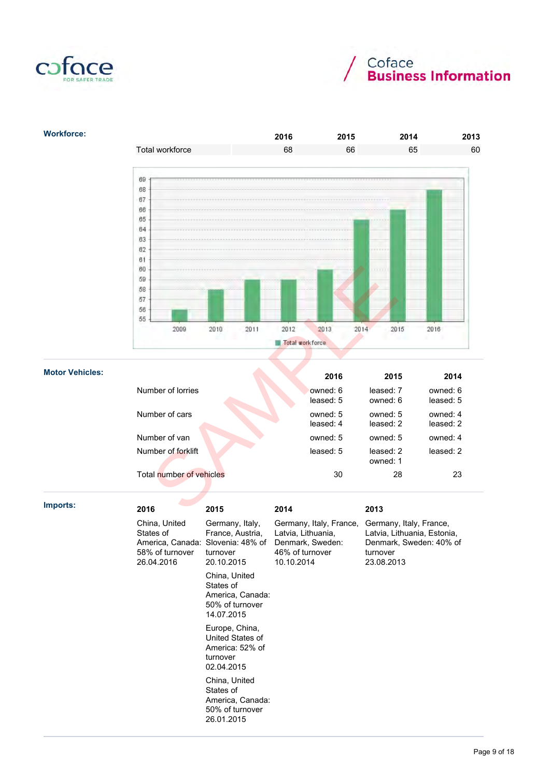



## Workforce: 2016 2015 2014 2013 Total workforce 68 66 65 60 60 69 68  $67$ 66 65  $64$ **B3**  $62$  $B1$ 60 59 58 57 56 55 2016

|                        | 60<br>59<br>58<br>57<br>56<br>55<br>2009                                                                 | 2010<br>2011                                                                           | 2012<br>2013<br>Total workforce                                                                            | 2014<br>2015                                                                                                        | 2016                  |
|------------------------|----------------------------------------------------------------------------------------------------------|----------------------------------------------------------------------------------------|------------------------------------------------------------------------------------------------------------|---------------------------------------------------------------------------------------------------------------------|-----------------------|
|                        |                                                                                                          |                                                                                        |                                                                                                            |                                                                                                                     |                       |
| <b>Motor Vehicles:</b> |                                                                                                          |                                                                                        | 2016                                                                                                       | 2015                                                                                                                | 2014                  |
|                        | Number of lorries                                                                                        |                                                                                        | owned: 6<br>leased: 5                                                                                      | leased: 7<br>owned: 6                                                                                               | owned: 6<br>leased: 5 |
|                        | Number of cars                                                                                           |                                                                                        | owned: 5<br>leased: 4                                                                                      | owned: 5<br>leased: 2                                                                                               | owned: 4<br>leased: 2 |
|                        | Number of van                                                                                            |                                                                                        | owned: 5                                                                                                   | owned: 5                                                                                                            | owned: 4              |
|                        | Number of forklift                                                                                       |                                                                                        | leased: 5                                                                                                  | leased: 2<br>owned: 1                                                                                               | leased: 2             |
|                        | Total number of vehicles                                                                                 |                                                                                        | 30                                                                                                         | 28                                                                                                                  | 23                    |
| Imports:               |                                                                                                          |                                                                                        |                                                                                                            |                                                                                                                     |                       |
|                        | 2016<br>China, United<br>States of<br>America, Canada: Slovenia: 48% of<br>58% of turnover<br>26.04.2016 | 2015<br>Germany, Italy,<br>France, Austria,<br>turnover<br>20.10.2015<br>China, United | 2014<br>Germany, Italy, France,<br>Latvia, Lithuania,<br>Denmark, Sweden:<br>46% of turnover<br>10.10.2014 | 2013<br>Germany, Italy, France,<br>Latvia, Lithuania, Estonia,<br>Denmark, Sweden: 40% of<br>turnover<br>23.08.2013 |                       |
|                        |                                                                                                          | States of<br>America, Canada:<br>50% of turnover<br>14.07.2015                         |                                                                                                            |                                                                                                                     |                       |

Europe, China, United States of America: 52% of turnover 02.04.2015 China, United States of

America, Canada: 50% of turnover 26.01.2015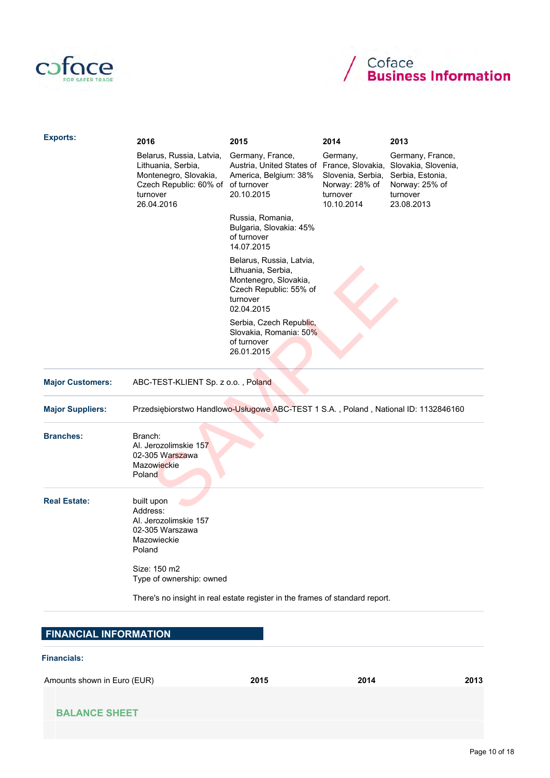



| <b>Exports:</b>              | 2016                                                                                                                        | 2015                                                                                                                        | 2014                                                                      | 2013                                                                                                    |
|------------------------------|-----------------------------------------------------------------------------------------------------------------------------|-----------------------------------------------------------------------------------------------------------------------------|---------------------------------------------------------------------------|---------------------------------------------------------------------------------------------------------|
|                              | Belarus, Russia, Latvia,<br>Lithuania, Serbia,<br>Montenegro, Slovakia,<br>Czech Republic: 60% of<br>turnover<br>26.04.2016 | Germany, France,<br>Austria, United States of France, Slovakia,<br>America, Belgium: 38%<br>of turnover<br>20.10.2015       | Germany,<br>Slovenia, Serbia,<br>Norway: 28% of<br>turnover<br>10.10.2014 | Germany, France,<br>Slovakia, Slovenia,<br>Serbia, Estonia,<br>Norway: 25% of<br>turnover<br>23.08.2013 |
|                              |                                                                                                                             | Russia, Romania,<br>Bulgaria, Slovakia: 45%<br>of turnover<br>14.07.2015                                                    |                                                                           |                                                                                                         |
|                              |                                                                                                                             | Belarus, Russia, Latvia,<br>Lithuania, Serbia,<br>Montenegro, Slovakia,<br>Czech Republic: 55% of<br>turnover<br>02.04.2015 |                                                                           |                                                                                                         |
|                              |                                                                                                                             | Serbia, Czech Republic,<br>Slovakia, Romania: 50%<br>of turnover<br>26.01.2015                                              |                                                                           |                                                                                                         |
| <b>Major Customers:</b>      | ABC-TEST-KLIENT Sp. z o.o., Poland                                                                                          |                                                                                                                             |                                                                           |                                                                                                         |
| <b>Major Suppliers:</b>      | Przedsiębiorstwo Handlowo-Usługowe ABC-TEST 1 S.A., Poland, National ID: 1132846160                                         |                                                                                                                             |                                                                           |                                                                                                         |
| <b>Branches:</b>             | Branch:<br>Al. Jerozolimskie 157<br>02-305 Warszawa<br>Mazowieckie<br>Poland                                                |                                                                                                                             |                                                                           |                                                                                                         |
| <b>Real Estate:</b>          | built upon<br>Address:<br>Al. Jerozolimskie 157<br>02-305 Warszawa<br>Mazowieckie<br>Poland                                 |                                                                                                                             |                                                                           |                                                                                                         |
|                              | Size: 150 m2<br>Type of ownership: owned                                                                                    |                                                                                                                             |                                                                           |                                                                                                         |
|                              | There's no insight in real estate register in the frames of standard report.                                                |                                                                                                                             |                                                                           |                                                                                                         |
| <b>FINANCIAL INFORMATION</b> |                                                                                                                             |                                                                                                                             |                                                                           |                                                                                                         |

Financials:

Amounts shown in Euro (EUR) 2015 2015 2014 2014 2013

| 15 |
|----|
|----|

| <b>BALANCE SHEET</b> |  |  |  |  |  |  |  |  |  |
|----------------------|--|--|--|--|--|--|--|--|--|
|----------------------|--|--|--|--|--|--|--|--|--|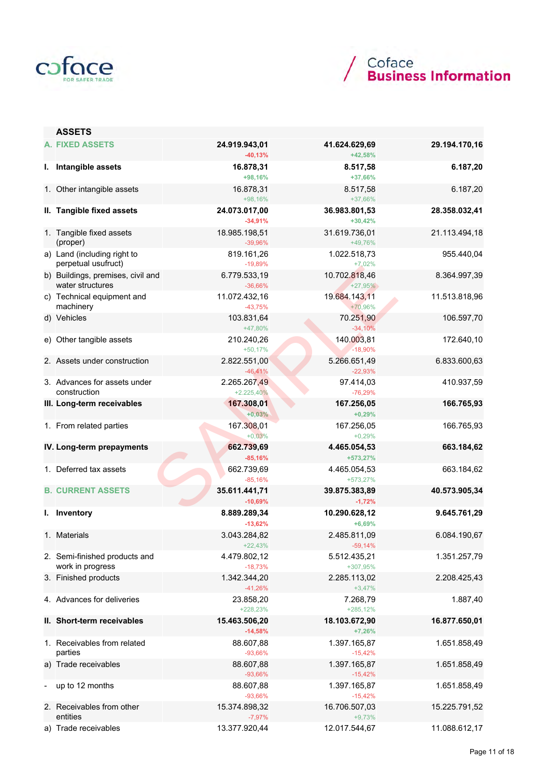



|   | <b>ASSETS</b>                                         |                              |                            |               |
|---|-------------------------------------------------------|------------------------------|----------------------------|---------------|
|   | <b>A. FIXED ASSETS</b>                                | 24.919.943,01<br>$-40,13%$   | 41.624.629,69<br>+42,58%   | 29.194.170,16 |
|   | I. Intangible assets                                  | 16.878,31<br>+98,16%         | 8.517,58<br>+37,66%        | 6.187,20      |
|   | 1. Other intangible assets                            | 16.878,31<br>+98,16%         | 8.517,58<br>+37,66%        | 6.187,20      |
|   | II. Tangible fixed assets                             | 24.073.017,00<br>$-34,91%$   | 36.983.801,53<br>$+30,42%$ | 28.358.032,41 |
|   | 1. Tangible fixed assets<br>(proper)                  | 18.985.198,51<br>$-39,96%$   | 31.619.736,01<br>+49,76%   | 21.113.494,18 |
|   | a) Land (including right to<br>perpetual usufruct)    | 819.161,26<br>$-19,89%$      | 1.022.518,73<br>$+7,02%$   | 955.440,04    |
|   | b) Buildings, premises, civil and<br>water structures | 6.779.533,19<br>$-36,66%$    | 10.702.818,46<br>$+27,95%$ | 8.364.997,39  |
|   | c) Technical equipment and<br>machinery               | 11.072.432,16<br>$-43,75%$   | 19.684.143.11<br>+70,96%   | 11.513.818,96 |
|   | d) Vehicles                                           | 103.831,64<br>+47,80%        | 70.251,90<br>$-34,10%$     | 106.597,70    |
|   | e) Other tangible assets                              | 210.240,26<br>$+50,17%$      | 140.003,81<br>$-18,90%$    | 172.640,10    |
|   | 2. Assets under construction                          | 2.822.551,00<br>$-46,41%$    | 5.266.651,49<br>$-22,93%$  | 6.833.600,63  |
|   | 3. Advances for assets under<br>construction          | 2.265.267,49<br>$+2.225,40%$ | 97.414,03<br>$-76,29%$     | 410.937,59    |
|   | III. Long-term receivables                            | 167.308,01<br>$+0,03%$       | 167.256,05<br>$+0,29%$     | 166.765,93    |
|   | 1. From related parties                               | 167.308,01<br>$+0,03%$       | 167.256,05<br>$+0,29%$     | 166.765,93    |
|   | IV. Long-term prepayments                             | 662.739,69<br>$-85,16%$      | 4.465.054,53<br>+573,27%   | 663.184,62    |
|   | 1. Deferred tax assets                                | 662.739,69<br>$-85,16%$      | 4.465.054,53<br>+573,27%   | 663.184,62    |
|   | <b>B. CURRENT ASSETS</b>                              | 35.611.441,71<br>$-10,69%$   | 39.875.383,89<br>$-1,72%$  | 40.573.905,34 |
|   | I. Inventory                                          | 8.889.289,34<br>$-13,62%$    | 10.290.628,12<br>$+6,69%$  | 9.645.761,29  |
|   | 1. Materials                                          | 3.043.284,82<br>$+22,43%$    | 2.485.811,09<br>$-59,14%$  | 6.084.190,67  |
|   | 2. Semi-finished products and<br>work in progress     | 4.479.802,12<br>$-18,73%$    | 5.512.435,21<br>+307,95%   | 1.351.257,79  |
|   | 3. Finished products                                  | 1.342.344,20<br>$-41,26%$    | 2.285.113,02<br>$+3,47%$   | 2.208.425,43  |
|   | 4. Advances for deliveries                            | 23.858,20<br>+228,23%        | 7.268,79<br>$+285,12\%$    | 1.887,40      |
|   | II. Short-term receivables                            | 15.463.506,20<br>$-14,58%$   | 18.103.672,90<br>$+7,26%$  | 16.877.650,01 |
|   | 1. Receivables from related<br>parties                | 88.607,88<br>$-93,66%$       | 1.397.165,87<br>$-15,42%$  | 1.651.858,49  |
|   | a) Trade receivables                                  | 88.607,88<br>$-93,66%$       | 1.397.165,87<br>$-15,42%$  | 1.651.858,49  |
| - | up to 12 months                                       | 88.607,88<br>$-93,66%$       | 1.397.165,87<br>$-15,42%$  | 1.651.858,49  |
|   | 2. Receivables from other<br>entities                 | 15.374.898,32<br>$-7,97%$    | 16.706.507,03<br>$+9,73%$  | 15.225.791,52 |
|   | a) Trade receivables                                  | 13.377.920,44                | 12.017.544,67              | 11.088.612,17 |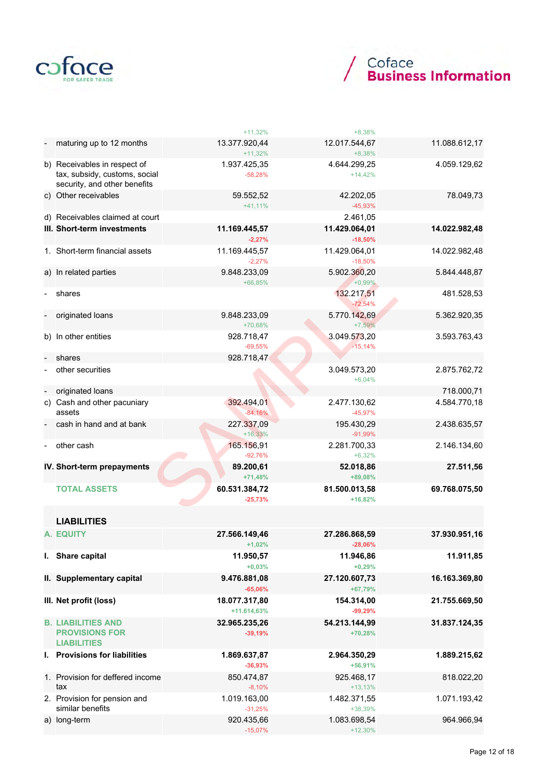



|                                                                                               | $+11,32%$                    | $+8,38%$                   |               |
|-----------------------------------------------------------------------------------------------|------------------------------|----------------------------|---------------|
| maturing up to 12 months                                                                      | 13.377.920,44<br>$+11,32%$   | 12.017.544,67<br>$+8,38%$  | 11.088.612,17 |
| b) Receivables in respect of<br>tax, subsidy, customs, social<br>security, and other benefits | 1.937.425,35<br>$-58,28%$    | 4.644.299,25<br>$+14,42%$  | 4.059.129,62  |
| c) Other receivables                                                                          | 59.552,52<br>$+41,11%$       | 42.202,05<br>$-45,93%$     | 78.049,73     |
| d) Receivables claimed at court                                                               |                              | 2.461,05                   |               |
| III. Short-term investments                                                                   | 11.169.445,57<br>$-2,27%$    | 11.429.064,01<br>$-18,50%$ | 14.022.982,48 |
| 1. Short-term financial assets                                                                | 11.169.445,57<br>$-2,27%$    | 11.429.064,01<br>$-18,50%$ | 14.022.982,48 |
| a) In related parties                                                                         | 9.848.233,09<br>+66,85%      | 5.902.360,20<br>$+0,99%$   | 5.844.448,87  |
| shares                                                                                        |                              | 132.217,51<br>$-72,54%$    | 481.528,53    |
| originated loans                                                                              | 9.848.233,09<br>+70,68%      | 5.770.142,69<br>$+7,59%$   | 5.362.920,35  |
| b) In other entities                                                                          | 928.718,47<br>$-69,55%$      | 3.049.573,20<br>$-15,14%$  | 3.593.763,43  |
| shares                                                                                        | 928.718,47                   |                            |               |
| other securities                                                                              |                              | 3.049.573,20<br>$+6,04%$   | 2.875.762,72  |
| originated loans                                                                              |                              |                            | 718.000,71    |
| c) Cash and other pacuniary<br>assets                                                         | 392.494,01<br>$-84,16%$      | 2.477.130,62<br>$-45,97%$  | 4.584.770,18  |
| cash in hand and at bank                                                                      | 227.337,09<br>$+16,33%$      | 195.430,29<br>$-91,99%$    | 2.438.635,57  |
| other cash                                                                                    | 165.156,91<br>$-92,76%$      | 2.281.700,33<br>$+6,32%$   | 2.146.134,60  |
| IV. Short-term prepayments                                                                    | 89.200,61<br>$+71,48%$       | 52.018,86<br>+89,08%       | 27.511,56     |
| <b>TOTAL ASSETS</b>                                                                           | 60.531.384,72<br>$-25,73%$   | 81.500.013,58<br>$+16,82%$ | 69.768.075,50 |
| <b>LIABILITIES</b>                                                                            |                              |                            |               |
| A. EQUITY                                                                                     | 27.566.149,46<br>$+1,02%$    | 27.286.868,59<br>$-28,06%$ | 37.930.951,16 |
| I. Share capital                                                                              | 11.950,57<br>$+0,03%$        | 11.946,86<br>$+0,29%$      | 11.911,85     |
| II. Supplementary capital                                                                     | 9.476.881,08<br>$-65,06%$    | 27.120.607,73<br>+67,79%   | 16.163.369,80 |
| III. Net profit (loss)                                                                        | 18.077.317,80<br>+11.614,63% | 154.314,00<br>$-99,29%$    | 21.755.669,50 |
| <b>B. LIABILITIES AND</b><br><b>PROVISIONS FOR</b><br><b>LIABILITIES</b>                      | 32.965.235,26<br>$-39,19%$   | 54.213.144,99<br>$+70,28%$ | 31.837.124,35 |
| I. Provisions for liabilities                                                                 | 1.869.637,87<br>$-36,93%$    | 2.964.350,29<br>$+56,91%$  | 1.889.215,62  |
| 1. Provision for deffered income<br>tax                                                       | 850.474,87<br>$-8,10%$       | 925.468,17<br>$+13,13%$    | 818.022,20    |
| 2. Provision for pension and<br>similar benefits                                              | 1.019.163,00<br>$-31,25%$    | 1.482.371,55<br>+38,39%    | 1.071.193,42  |
| a) long-term                                                                                  | 920.435,66<br>$-15,07%$      | 1.083.698,54<br>$+12,30%$  | 964.966,94    |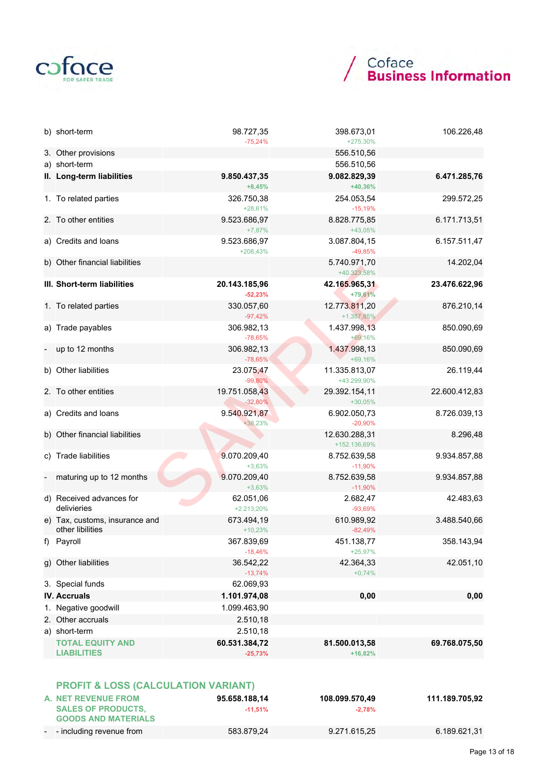

# / Coface<br>**Business Information**

| b) short-term                                      | 98.727,35<br>$-75,24%$     | 398.673,01<br>+275,30%         | 106.226,48    |
|----------------------------------------------------|----------------------------|--------------------------------|---------------|
| 3. Other provisions                                |                            | 556.510,56                     |               |
| a) short-term                                      |                            | 556.510,56                     |               |
| II. Long-term liabilities                          | 9.850.437,35<br>$+8,45%$   | 9.082.829,39<br>+40,36%        | 6.471.285,76  |
| 1. To related parties                              | 326.750,38<br>$+28,61%$    | 254.053,54<br>$-15,19%$        | 299.572,25    |
| 2. To other entities                               | 9.523.686,97<br>$+7,87%$   | 8.828.775,85<br>+43,05%        | 6.171.713,51  |
| a) Credits and loans                               | 9.523.686,97<br>$+208,43%$ | 3.087.804,15<br>$-49,85%$      | 6.157.511,47  |
| b) Other financial liabilities                     |                            | 5.740.971,70<br>+40.323,58%    | 14.202,04     |
| III. Short-term liabilities                        | 20.143.185,96<br>$-52,23%$ | 42.165.965,31<br>+79,61%       | 23.476.622,96 |
| 1. To related parties                              | 330.057,60<br>$-97,42%$    | 12.773.811,20<br>$+1.357,85\%$ | 876.210,14    |
| a) Trade payables                                  | 306.982,13<br>$-78,65%$    | 1.437.998,13<br>+69,16%        | 850.090,69    |
| up to 12 months                                    | 306.982,13<br>$-78,65%$    | 1.437.998,13<br>+69,16%        | 850.090,69    |
| b) Other liabilities                               | 23.075,47<br>$-99,80%$     | 11.335.813,07<br>+43.299,90%   | 26.119,44     |
| 2. To other entities                               | 19.751.058,43<br>$-32,80%$ | 29.392.154,11<br>$+30,05%$     | 22.600.412,83 |
| a) Credits and loans                               | 9.540.921,87<br>+38,23%    | 6.902.050,73<br>$-20,90%$      | 8.726.039,13  |
| b) Other financial liabilities                     |                            | 12.630.288,31<br>+152.136,69%  | 8.296,48      |
| c) Trade liabilities                               | 9.070.209,40<br>$+3,63%$   | 8.752.639,58<br>$-11,90%$      | 9.934.857,88  |
| maturing up to 12 months                           | 9.070.209,40<br>$+3,63%$   | 8.752.639,58<br>$-11,90%$      | 9.934.857,88  |
| d) Received advances for<br>delivieries            | 62.051,06<br>+2.213,20%    | 2.682,47<br>$-93,69%$          | 42.483,63     |
| e) Tax, customs, insurance and<br>other libilities | 673.494,19<br>$+10,23%$    | 610.989,92<br>$-82,49%$        | 3.488.540,66  |
| f) Payroll                                         | 367.839,69<br>$-18,46%$    | 451.138,77<br>$+25,97%$        | 358.143,94    |
| g) Other liabilities                               | 36.542,22<br>$-13,74%$     | 42.364,33<br>$+0,74%$          | 42.051,10     |
| 3. Special funds                                   | 62.069,93                  |                                |               |
| <b>IV. Accruals</b>                                | 1.101.974,08               | 0,00                           | 0,00          |
| 1. Negative goodwill                               | 1.099.463,90               |                                |               |
| 2. Other accruals                                  | 2.510,18                   |                                |               |
| a) short-term                                      | 2.510,18                   |                                |               |
| <b>TOTAL EQUITY AND</b><br><b>LIABILITIES</b>      | 60.531.384,72<br>$-25,73%$ | 81.500.013,58<br>$+16,82%$     | 69.768.075,50 |
| <b>PROFIT &amp; LOSS (CALCULATION VARIANT)</b>     |                            |                                |               |

| A. NET REVENUE FROM        | 95.658.188,14 | 108.099.570,49 | 111.189.705,92 |
|----------------------------|---------------|----------------|----------------|
| <b>SALES OF PRODUCTS.</b>  | $-11.51\%$    | $-2.78%$       |                |
| <b>GOODS AND MATERIALS</b> |               |                |                |
| - - including revenue from | 583.879,24    | 9.271.615,25   | 6.189.621.31   |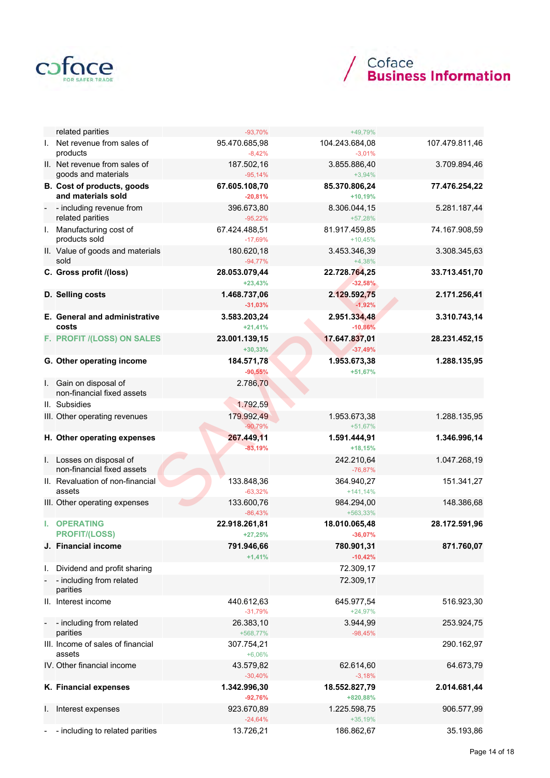



|                | related parities                                                    | $-93,70%$                  | +49,79%                    |                |
|----------------|---------------------------------------------------------------------|----------------------------|----------------------------|----------------|
|                | I. Net revenue from sales of<br>products                            | 95.470.685,98<br>$-8,42%$  | 104.243.684,08<br>$-3,01%$ | 107.479.811,46 |
|                | II. Net revenue from sales of<br>goods and materials                | 187.502,16<br>$-95,14%$    | 3.855.886,40<br>$+3,94%$   | 3.709.894,46   |
|                | B. Cost of products, goods<br>and materials sold                    | 67.605.108,70<br>$-20,81%$ | 85.370.806,24<br>$+10,19%$ | 77.476.254,22  |
| $\blacksquare$ | - including revenue from<br>related parities                        | 396.673,80<br>$-95,22%$    | 8.306.044,15<br>+57,28%    | 5.281.187,44   |
|                | I. Manufacturing cost of<br>products sold                           | 67.424.488,51<br>$-17,69%$ | 81.917.459,85<br>$+10,45%$ | 74.167.908,59  |
|                | II. Value of goods and materials<br>sold                            | 180.620,18<br>$-94,77%$    | 3.453.346,39<br>$+4,38%$   | 3.308.345,63   |
|                | C. Gross profit /(loss)                                             | 28.053.079,44<br>$+23,43%$ | 22.728.764,25<br>$-32,58%$ | 33.713.451,70  |
|                | D. Selling costs                                                    | 1.468.737,06<br>$-31,03%$  | 2.129.592,75<br>$-1,92%$   | 2.171.256,41   |
|                | E. General and administrative<br>costs                              | 3.583.203,24<br>$+21,41%$  | 2.951.334,48<br>$-10,86%$  | 3.310.743,14   |
|                | F. PROFIT /(LOSS) ON SALES                                          | 23.001.139,15<br>$+30,33%$ | 17.647.837,01<br>$-37,49%$ | 28.231.452,15  |
|                | G. Other operating income                                           | 184.571,78<br>$-90,55%$    | 1.953.673,38<br>+51,67%    | 1.288.135,95   |
|                | I. Gain on disposal of<br>non-financial fixed assets                | 2.786,70                   |                            |                |
|                | II. Subsidies                                                       | 1.792,59                   |                            |                |
|                | III. Other operating revenues                                       | 179.992,49<br>$-90,79%$    | 1.953.673,38<br>+51,67%    | 1.288.135,95   |
|                |                                                                     |                            |                            |                |
|                | H. Other operating expenses                                         | 267.449,11<br>$-83,19%$    | 1.591.444,91<br>$+18,15%$  | 1.346.996,14   |
|                | I. Losses on disposal of<br>non-financial fixed assets              |                            | 242.210,64<br>$-76,87%$    | 1.047.268,19   |
|                | II. Revaluation of non-financial<br>assets                          | 133.848,36<br>$-63,32%$    | 364.940,27<br>$+141,14%$   | 151.341,27     |
|                | III. Other operating expenses                                       | 133.600,76<br>$-86,43%$    | 984.294,00<br>+563,33%     | 148.386,68     |
| L.             | <b>OPERATING</b><br><b>PROFIT/(LOSS)</b>                            | 22.918.261,81<br>$+27,25%$ | 18.010.065,48<br>$-36,07%$ | 28.172.591,96  |
|                | J. Financial income                                                 | 791.946,66<br>$+1,41%$     | 780.901,31<br>$-10,42%$    | 871.760,07     |
|                |                                                                     |                            |                            |                |
| I.             | Dividend and profit sharing<br>- including from related<br>parities |                            | 72.309,17<br>72.309,17     |                |
|                | II. Interest income                                                 | 440.612,63<br>$-31,79%$    | 645.977,54<br>$+24,97%$    | 516.923,30     |
| $\blacksquare$ | - including from related<br>parities                                | 26.383,10<br>+568,77%      | 3.944,99<br>$-98,45%$      | 253.924,75     |
|                | III. Income of sales of financial<br>assets                         | 307.754,21<br>$+6,06%$     |                            | 290.162,97     |
|                | IV. Other financial income                                          | 43.579,82<br>$-30,40%$     | 62.614,60<br>$-3,18%$      | 64.673,79      |
|                | K. Financial expenses                                               | 1.342.996,30<br>$-92,76%$  | 18.552.827,79<br>+820,88%  | 2.014.681,44   |
| ı.             | Interest expenses                                                   | 923.670,89<br>$-24,64%$    | 1.225.598,75<br>$+35,19%$  | 906.577,99     |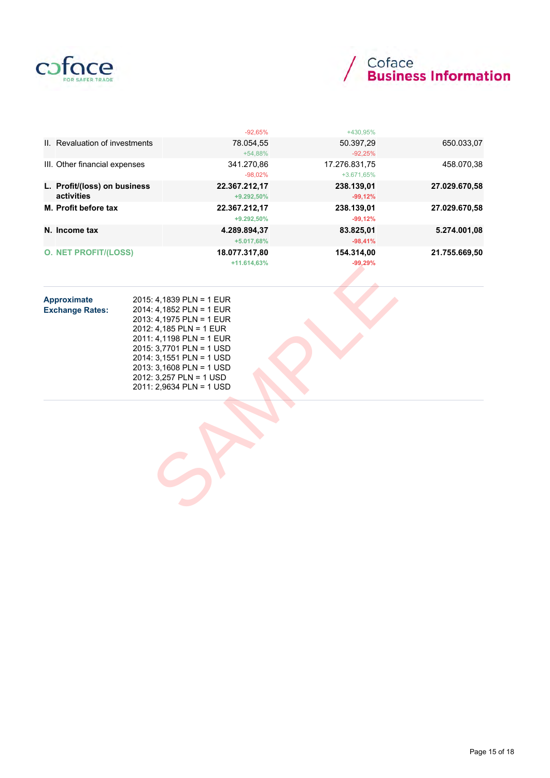

# / Coface<br>/ Business Information

|                                | $-92,65%$     | +430.95%      |               |
|--------------------------------|---------------|---------------|---------------|
| II. Revaluation of investments | 78.054,55     | 50.397,29     | 650.033,07    |
|                                | $+54,88%$     | $-92,25%$     |               |
| III. Other financial expenses  | 341.270.86    | 17.276.831.75 | 458.070,38    |
|                                | $-98,02\%$    | +3.671,65%    |               |
| L. Profit/(loss) on business   | 22.367.212,17 | 238.139,01    | 27.029.670,58 |
| activities                     | $+9.292,50\%$ | $-99,12%$     |               |
| M. Profit before tax           | 22.367.212,17 | 238.139,01    | 27.029.670,58 |
|                                | +9.292.50%    | $-99,12%$     |               |
| N. Income tax                  | 4.289.894.37  | 83.825,01     | 5.274.001,08  |
|                                | $+5.017,68%$  | $-98,41%$     |               |
| <b>O. NET PROFIT/(LOSS)</b>    | 18.077.317,80 | 154.314.00    | 21.755.669.50 |
|                                | $+11.614,63%$ | $-99,29%$     |               |

| Approximate<br><b>Exchange Rates:</b> | 2015: 4,1839 PLN = 1 EUR<br>2014: 4,1852 PLN = 1 EUR<br>2013: 4,1975 PLN = 1 EUR<br>2012: 4,185 PLN = 1 EUR<br>2011: 4,1198 PLN = 1 EUR<br>2015: 3,7701 PLN = 1 USD<br>2014: 3,1551 PLN = 1 USD<br>2013: 3,1608 PLN = 1 USD<br>2012: 3,257 PLN = 1 USD<br>2011: 2,9634 PLN = 1 USD |  |
|---------------------------------------|------------------------------------------------------------------------------------------------------------------------------------------------------------------------------------------------------------------------------------------------------------------------------------|--|
|                                       |                                                                                                                                                                                                                                                                                    |  |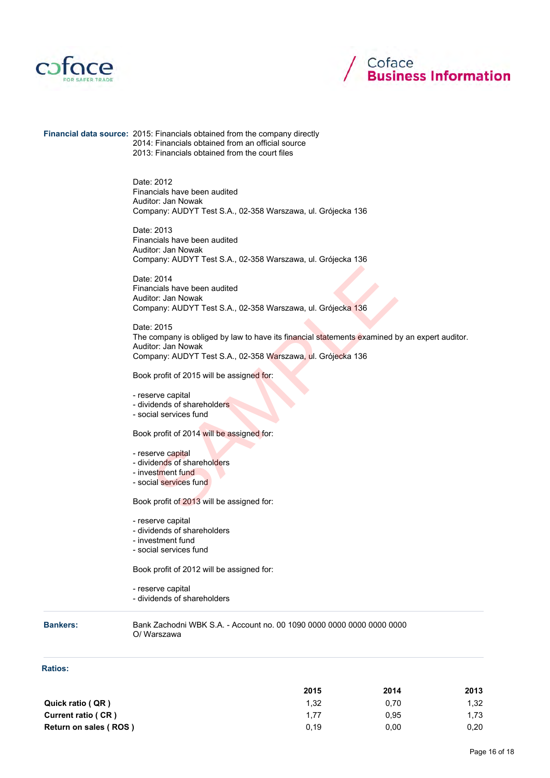



Financial data source: 2015: Financials obtained from the company directly 2014: Financials obtained from an official source 2013: Financials obtained from the court files

> Date: 2012 Financials have been audited Auditor: Jan Nowak Company: AUDYT Test S.A., 02-358 Warszawa, ul. Grójecka 136

> Date: 2013 Financials have been audited Auditor: Jan Nowak Company: AUDYT Test S.A., 02-358 Warszawa, ul. Grójecka 136

> Date: 2014 Financials have been audited Auditor: Jan Nowak Company: AUDYT Test S.A., 02-358 Warszawa, ul. Grójecka 136

Date: 2015 The company is obliged by law to have its financial statements examined by an expert auditor. Auditor: Jan Nowak Company: AUDYT Test S.A., 02-358 Warszawa, ul. Grójecka 136 9: 2014<br>
Incials have been audited<br>
Itior: Jan Nowak<br>
Itior: Jan Nowak<br>
9: 2015<br>
Section and Division 136 University of the set of the section of the section<br>
136<br>
136<br>
Company is obliged by law to have its financial state

Book profit of 2015 will be assigned for:

- reserve capital

- dividends of shareholders
- social services fund

Book profit of 2014 will be assigned for:

- reserve capital
- dividends of shareholders
- investment fund
- social services fund

Book profit of 2013 will be assigned for:

- reserve capital
- dividends of shareholders
- investment fund
- social services fund

Book profit of 2012 will be assigned for:

- reserve capital
- dividends of shareholders

Bankers: Bank Zachodni WBK S.A. - Account no. 00 1090 0000 0000 0000 0000 0000 O/ Warszawa

#### Ratios:

|                       | 2015 | 2014 | 2013 |
|-----------------------|------|------|------|
| Quick ratio (QR)      | 1.32 | 0.70 | 1.32 |
| Current ratio (CR)    | 1.77 | 0.95 | 1.73 |
| Return on sales (ROS) | 0.19 | 0.00 | 0.20 |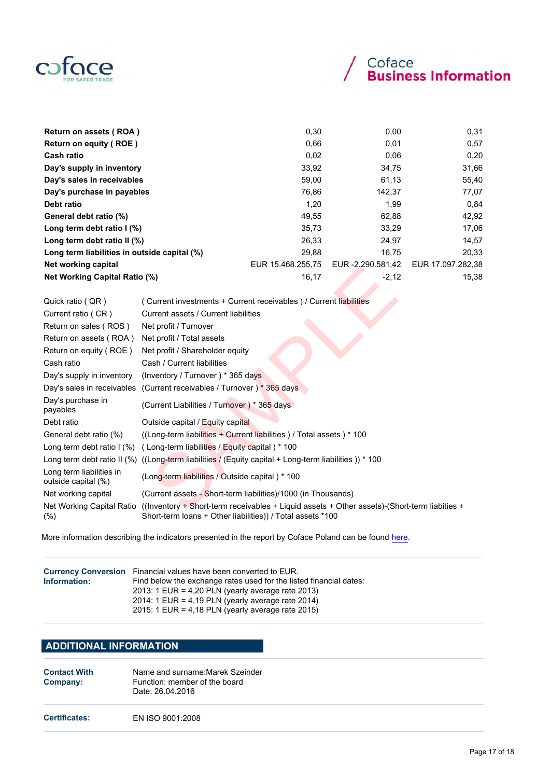

| Return on assets (ROA)                       | 0,30              | 0,00              | 0.31              |
|----------------------------------------------|-------------------|-------------------|-------------------|
| Return on equity (ROE)                       | 0.66              | 0,01              | 0,57              |
| <b>Cash ratio</b>                            | 0,02              | 0.06              | 0,20              |
| Day's supply in inventory                    | 33,92             | 34,75             | 31,66             |
| Day's sales in receivables                   | 59,00             | 61,13             | 55,40             |
| Day's purchase in payables                   | 76,86             | 142,37            | 77,07             |
| Debt ratio                                   | 1.20              | 1,99              | 0.84              |
| General debt ratio (%)                       | 49,55             | 62,88             | 42,92             |
| Long term debt ratio $\frac{1}{2}$           | 35,73             | 33,29             | 17,06             |
| Long term debt ratio II (%)                  | 26.33             | 24.97             | 14,57             |
| Long term liabilities in outside capital (%) | 29.88             | 16.75             | 20.33             |
| Net working capital                          | EUR 15.468.255,75 | EUR -2.290.581,42 | EUR 17.097.282,38 |
| <b>Net Working Capital Ratio (%)</b>         | 16,17             | $-2,12$           | 15,38             |

| <b>ITCL WOLNING</b> Capital                     | <b>LUIS 10. 10. 10. 200, 10</b> CUIST 2. 200.00 1, 72 LUIS 11.001. 202,                                                                                                              |
|-------------------------------------------------|--------------------------------------------------------------------------------------------------------------------------------------------------------------------------------------|
| <b>Net Working Capital Ratio (%)</b>            | 16,17<br>$-2,12$<br>15,                                                                                                                                                              |
| Quick ratio ( QR )                              | (Current investments + Current receivables) / Current liabilities                                                                                                                    |
| Current ratio (CR)                              | Current assets / Current liabilities                                                                                                                                                 |
| Return on sales (ROS)                           | Net profit / Turnover                                                                                                                                                                |
| Return on assets (ROA)                          | Net profit / Total assets                                                                                                                                                            |
| Return on equity (ROE)                          | Net profit / Shareholder equity                                                                                                                                                      |
| Cash ratio                                      | Cash / Current liabilities                                                                                                                                                           |
| Day's supply in inventory                       | (Inventory / Turnover) * 365 days                                                                                                                                                    |
|                                                 | Day's sales in receivables (Current receivables / Turnover) * 365 days                                                                                                               |
| Day's purchase in<br>payables                   | (Current Liabilities / Turnover) * 365 days                                                                                                                                          |
| Debt ratio                                      | Outside capital / Equity capital                                                                                                                                                     |
| General debt ratio (%)                          | ((Long-term liabilities + Current liabilities) / Total assets) * 100                                                                                                                 |
|                                                 | Long term debt ratio I (%) (Long-term liabilities / Equity capital) * 100                                                                                                            |
|                                                 | Long term debt ratio II (%) ((Long-term liabilities / (Equity capital + Long-term liabilities )) * 100                                                                               |
| Long term liabilities in<br>outside capital (%) | (Long-term liabilities / Outside capital) * 100                                                                                                                                      |
| Net working capital                             | (Current assets - Short-term liabilities)/1000 (in Thousands)                                                                                                                        |
| $(\%)$                                          | Net Working Capital Ratio ((Inventory + Short-term receivables + Liquid assets + Other assets)-(Short-term liabities +<br>Short-term loans + Other liabilities)) / Total assets *100 |

More information describing the indicators presented in the report by Coface Poland can be found here.

| Information: | Currency Conversion Financial values have been converted to EUR.<br>Find below the exchange rates used for the listed financial dates:<br>2013: 1 EUR = 4,20 PLN (yearly average rate 2013)<br>2014: 1 EUR = 4,19 PLN (yearly average rate $2014$ ) |
|--------------|-----------------------------------------------------------------------------------------------------------------------------------------------------------------------------------------------------------------------------------------------------|
|              | 2015: 1 EUR = 4,18 PLN (yearly average rate 2015)                                                                                                                                                                                                   |

# ADDITIONAL INFORMATION

| <b>Contact With</b> | Name and surname: Marek Szeinder |  |
|---------------------|----------------------------------|--|
| Company:            | Function: member of the board    |  |
|                     | Date: 26.04.2016                 |  |

Certificates: EN ISO 9001:2008